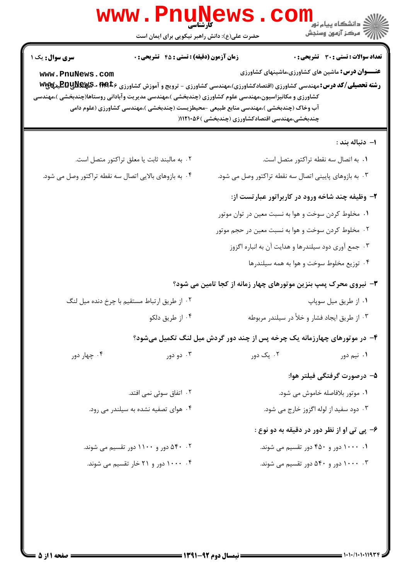| www.PnuNews<br>حضرت علی(ع): دانش راهبر نیکویی برای ایمان است                                                                                                                                                                                                                                                                                                                                                                                   | ري دانشڪاه پيام نور<br>ا∛ مرکز آزمون وسنڊش                                                                                                                  |  |
|------------------------------------------------------------------------------------------------------------------------------------------------------------------------------------------------------------------------------------------------------------------------------------------------------------------------------------------------------------------------------------------------------------------------------------------------|-------------------------------------------------------------------------------------------------------------------------------------------------------------|--|
| <b>زمان آزمون (دقیقه) : تستی : 45 تشریحی : 0</b><br>سری سوال : یک ۱<br>www.PnuNews.com<br><b>رشته تحصیلی/کد درس:</b> مهندسی کشاورزی (اقتصادکشاورزی)،مهندسی کشاورزی - ترویج و آموزش کشاورزی <b>۱۹۹</b> ۵۶۰ <b>- EQUNEX</b> ۶ می <b>ت</b> یمهایی<br>کشاورزی و مکانیزاسیون،مهندسی علوم کشاورزی (چندبخشی )،مهندسی مدیریت وآبادانی روستاها(چندبخشی )،مهندسی<br>آب وخاک (چندبخشی )،مهندسی منابع طبیعی -محیطزیست (چندبخشی )،مهندسی کشاورزی (علوم دامی | <b>تعداد سوالات : تستی : 30 ٪ تشریحی : 0</b><br><b>عنـــوان درس:</b> ماشین های کشاورزی،ماشینهای کشاورزی<br>چندبخشی،مهندسی اقتصادکشاورزی (چندبخشی )۱۱۲۱۰۵۶ ( |  |
|                                                                                                                                                                                                                                                                                                                                                                                                                                                | ۱– دنباله بند :                                                                                                                                             |  |
| ۰۲ به مالبند ثابت یا معلق تراکتور متصل است.                                                                                                                                                                                                                                                                                                                                                                                                    | ٠١. به اتصال سه نقطه تراكتور متصل است.                                                                                                                      |  |
| ۰۴ به بازوهای بالایی اتصال سه نقطه تراکتور وصل می شود.                                                                                                                                                                                                                                                                                                                                                                                         | ۰۳ به بازوهای پایینی اتصال سه نقطه تراکتور وصل می شود.                                                                                                      |  |
|                                                                                                                                                                                                                                                                                                                                                                                                                                                | ۲- وظیفه چند شاخه ورود در کاربراتور عبارتست از:                                                                                                             |  |
|                                                                                                                                                                                                                                                                                                                                                                                                                                                | ۰۱ مخلوط کردن سوخت و هوا به نسبت معین در توان موتور                                                                                                         |  |
|                                                                                                                                                                                                                                                                                                                                                                                                                                                | ۰۲ مخلوط کردن سوخت و هوا به نسبت معین در حجم موتور                                                                                                          |  |
|                                                                                                                                                                                                                                                                                                                                                                                                                                                | ۰۳ جمع آوری دود سیلندرها و هدایت آن به انباره اگزوز                                                                                                         |  |
|                                                                                                                                                                                                                                                                                                                                                                                                                                                | ۰۴ توزیع مخلوط سوخت و هوا به همه سیلندرها                                                                                                                   |  |
|                                                                                                                                                                                                                                                                                                                                                                                                                                                | 4- نیروی محرک پمپ بنزین موتورهای چهار زمانه از کجا تامین می شود؟                                                                                            |  |
| ۰۲ از طریق ارتباط مستقیم با چرخ دنده میل لنگ                                                                                                                                                                                                                                                                                                                                                                                                   | ۰۱ از طريق ميل سوپاپ                                                                                                                                        |  |
| ۰۴ از طريق دلكو                                                                                                                                                                                                                                                                                                                                                                                                                                | ۰۳ از طريق ايجاد فشار و خلأ در سيلندر مربوطه                                                                                                                |  |
|                                                                                                                                                                                                                                                                                                                                                                                                                                                | ۴- در موتورهای چهارزمانه یک چرخه پس از چند دور گردش میل لنگ تکمیل میشود؟                                                                                    |  |
|                                                                                                                                                                                                                                                                                                                                                                                                                                                |                                                                                                                                                             |  |
| ۰۴ چهار دور<br>۰۳ دو دور                                                                                                                                                                                                                                                                                                                                                                                                                       | ۰۲ یک دور<br>۰۱ نیم دور                                                                                                                                     |  |
|                                                                                                                                                                                                                                                                                                                                                                                                                                                | ۵– درصورت گرفتگی فیلتر هوا:                                                                                                                                 |  |
| ۰۲ اتفاق سوئی نمی افتد.                                                                                                                                                                                                                                                                                                                                                                                                                        | ۰۱ موتور بلافاصله خاموش می شود.                                                                                                                             |  |
| ۰۴ هوای تصفیه نشده به سیلندر می رود.                                                                                                                                                                                                                                                                                                                                                                                                           | ۰۳ دود سفید از لوله اگزوز خارج می شود.                                                                                                                      |  |
|                                                                                                                                                                                                                                                                                                                                                                                                                                                | ۶- پی تی او از نظر دور در دقیقه به دو نوع :                                                                                                                 |  |
| ۰۲ ۵۴۰ دور و ۱۱۰۰ دور تقسیم می شوند.                                                                                                                                                                                                                                                                                                                                                                                                           | ۰۱ ۱۰۰۰ دور و ۴۵۰ دور تقسیم می شوند.                                                                                                                        |  |
| ۰۴ ۱۰۰۰ دور و ۲۱ خار تقسیم می شوند.                                                                                                                                                                                                                                                                                                                                                                                                            | ۰۳ - ۱۰۰۰ دور و ۵۴۰ دور تقسیم می شوند.                                                                                                                      |  |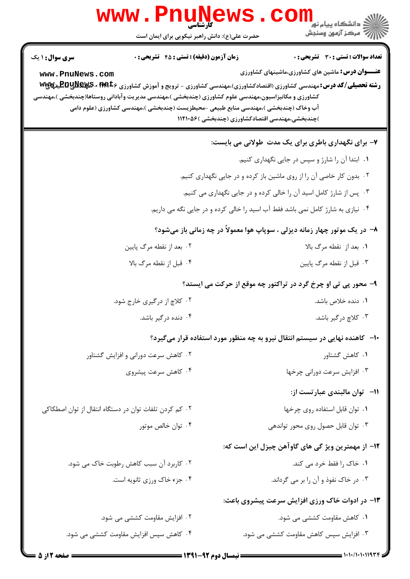| <b>www.PnuNewS</b><br>کارشناسی<br>حضرت علی(ع): دانش راهبر نیکویی برای ایمان است                                                                                                                                                                                                                                                                                                                                                         | ڪ دانشڪاه پيا <sub>م</sub> نور<br><mark>√</mark> مرڪز آزمون وسنڊش                                                                                                                                                                                   |
|-----------------------------------------------------------------------------------------------------------------------------------------------------------------------------------------------------------------------------------------------------------------------------------------------------------------------------------------------------------------------------------------------------------------------------------------|-----------------------------------------------------------------------------------------------------------------------------------------------------------------------------------------------------------------------------------------------------|
| <b>زمان آزمون (دقیقه) : تستی : 45 قشریحی : 0</b><br><b>سری سوال :</b> ۱ یک<br>www.PnuNews.com<br><b>رشته تحصیلی/کد درس: م</b> هندسی کشاورزی (اقتصادکشاورزی)،مهندسی کشاورزی - ترویج و آموزش کشاورزی <b>۱۹۹</b> ۵۶۰ <b>-RyS پیلایی تا</b><br>کشاورزی و مکانیزاسیون،مهندسی علوم کشاورزی (چندبخشی )،مهندسی مدیریت وآبادانی روستاها(چندبخشی )،مهندسی<br>آب وخاک (چندبخشی )،مهندسی منابع طبیعی -محیطزیست (چندبخشی )،مهندسی کشاورزی (علوم دامی | <b>تعداد سوالات : تستي : 30 ٪ تشريحي : 0</b><br><b>عنـــوان درس:</b> ماشین های کشاورزی،ماشینهای کشاورزی<br>)چندبخشی،مهندسی اقتصادکشاورزی (چندبخشی )۱۱۲۱۰۵۶                                                                                          |
|                                                                                                                                                                                                                                                                                                                                                                                                                                         | ۷- برای نگهداری باطری برای یک مدت طولانی می بایست:<br>۰۱ ابتدا آن را شارژ و سپس در جایی نگهداری کنیم.<br>۰۲ بدون کار خاصی آن را از روی ماشین باز کرده و در جایی نگهداری کنیم.<br>۰۳ پس از شارژ کامل اسید آن را خالی کرده و در جایی نگهداری می کنیم. |
| ۰۲ بعد از نقطه مرگ پایین                                                                                                                                                                                                                                                                                                                                                                                                                | ۰۴ نیازی به شارژ کامل نمی باشد فقط آب اسید را خالی کرده و در جایی نگه می داریم.<br>۸- در یک موتور چهار زمانه دیزلی ، سوپاپ هوا معمولاً در چه زمانی باز میشود؟<br>۰۱ بعد از نقطه مرگ بالا                                                            |
| ۰۴ قبل از نقطه مرگ بالا<br>۲. کلاچ از درگیری خارج شود.<br>۰۴ دنده درگیر باشد.                                                                                                                                                                                                                                                                                                                                                           | ۰۳ قبل از نقطه مرگ پایین<br>۹- محور پی تی او چرخ گرد در تراکتور چه موقع از حرکت می ایستد؟<br>۰۱ دنده خلاص باشد.<br>۰۳ کلاچ در گیر باشد.                                                                                                             |
| ۰۲ کاهش سرعت دورانی و افزایش گشتاور<br>۰۴ کاهش سرعت پیشروی                                                                                                                                                                                                                                                                                                                                                                              | ∙۱- کاهنده نهایی در سیستم انتقال نیرو به چه منظور مورد استفاده قرار میگیرد؟<br>۰۱ کاهش گشتاور<br>۰۳ افزایش سرعت دورانی چرخها                                                                                                                        |
| ۰۲ کم کردن تلفات توان در دستگاه انتقال از توان اصطکاکی<br>۰۴ توان خالص موتور                                                                                                                                                                                                                                                                                                                                                            | 11- توان مالبندي عبارتست از:<br>٠١ توان قابل استفاده روى چرخها<br>۰۳ توان قابل حصول روی محور تواندهی                                                                                                                                                |
| ۰۲ کاربرد آن سبب کاهش رطوبت خاک می شود.<br>۰۴ جزء خاک ورزی ثانویه است.                                                                                                                                                                                                                                                                                                                                                                  | ۱۲– از مهمترین ویژ گی های گاوآهن چیزل این است که:<br>۰۱ خاک را فقط خرد می کند.<br>۰۳ در خاک نفوذ و آن را بر می گرداند.                                                                                                                              |
| ۰۲ افزایش مقاومت کششی می شود.<br>۰۴ کاهش سپس افزایش مقاومت کششی می شود.                                                                                                                                                                                                                                                                                                                                                                 | ۱۳- در ادوات خاک ورزی افزایش سرعت پیشروی باعث:<br>۰۱ کاهش مقاومت کششی می شود.<br>۰۳ افزایش سپس کاهش مقاومت کششی می شود.                                                                                                                             |
|                                                                                                                                                                                                                                                                                                                                                                                                                                         | <b>ـــــ ن</b> مسال دوم ۹۲-۱۳۹۱ <del>ــــــ</del>                                                                                                                                                                                                   |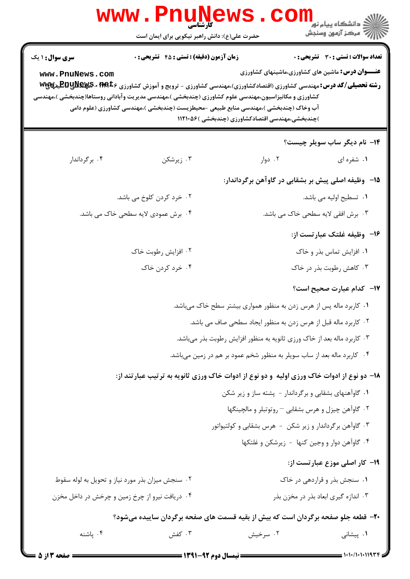| <b>WWW</b>                                | حضرت علی(ع): دانش راهبر نیکویی برای ایمان است                                                                                                                                                                                                                                                       |                                                                         | ڪ دانشڪاه پيام نور<br>7- مرڪز آزمون وسنڊش                                                        |
|-------------------------------------------|-----------------------------------------------------------------------------------------------------------------------------------------------------------------------------------------------------------------------------------------------------------------------------------------------------|-------------------------------------------------------------------------|--------------------------------------------------------------------------------------------------|
| <b>سری سوال : ۱ یک</b><br>www.PnuNews.com | <b>زمان آزمون (دقیقه) : تستی : 45 تشریحی : 0</b><br><b>رشته تحصیلی/کد درس:</b> مهندسی کشاورزی (اقتصادکشاورزی)،مهندسی کشاورزی - ترویج و آموزش کشاورزی <b>۱۹۹</b> ۵۶ <b>- ERU پهنگلایا ته</b><br>کشاورزی و مکانیزاسیون،مهندسی علوم کشاورزی (چندبخشی )،مهندسی مدیریت وآبادانی روستاها(چندبخشی )،مهندسی |                                                                         | تعداد سوالات : تستي : 30 ٪ تشريحي : 0<br><b>عنـــوان درس:</b> ماشین های کشاورزی،ماشینهای کشاورزی |
|                                           | آب وخاک (چندبخشی )،مهندسی منابع طبیعی -محیطزیست (چندبخشی )،مهندسی کشاورزی (علوم دامی                                                                                                                                                                                                                | )چندبخشی،مهندسی اقتصادکشاورزی (چندبخشی )۱۱۲۱۰۵۶                         |                                                                                                  |
|                                           |                                                                                                                                                                                                                                                                                                     |                                                                         | ۱۴- نام دیگر ساب سویلر چیست؟                                                                     |
| ۰۴ برگرداندار                             | ۰۳ زیرشکن                                                                                                                                                                                                                                                                                           | ۰۲ دوار                                                                 | ۰۱ شفره ای                                                                                       |
|                                           |                                                                                                                                                                                                                                                                                                     | ۱۵– وظیفه اصلی پیش بر بشقابی در گاوآهن برگرداندار:                      |                                                                                                  |
|                                           | ۲. خرد کردن کلوخ می باشد.                                                                                                                                                                                                                                                                           |                                                                         | ٠١ تسطيح اوليه مي باشد.                                                                          |
|                                           | ۰۴ برش عمودی لایه سطحی خاک می باشد.                                                                                                                                                                                                                                                                 |                                                                         | ۰۳ برش افقی لایه سطحی خاک می باشد.                                                               |
|                                           |                                                                                                                                                                                                                                                                                                     |                                                                         | ۱۶– وظیفه غلتک عبارتست از:                                                                       |
|                                           | ۰۲ افزایش رطوبت خاک                                                                                                                                                                                                                                                                                 |                                                                         | ۰۱ افزایش تماس بذر و خاک                                                                         |
|                                           | ۰۴ خرد کردن خاک                                                                                                                                                                                                                                                                                     |                                                                         | ۰۳ کاهش رطوبت بذر در خاک                                                                         |
|                                           |                                                                                                                                                                                                                                                                                                     |                                                                         | ۱۷– کدام عبارت صحیح است؟                                                                         |
|                                           |                                                                                                                                                                                                                                                                                                     | ۰۱ کاربرد ماله پس از هرس زدن به منظور همواری بیشتر سطح خاک میباشد.      |                                                                                                  |
|                                           |                                                                                                                                                                                                                                                                                                     | ۰۲ کاربرد ماله قبل از هرس زدن به منظور ایجاد سطحی صاف می باشد.          |                                                                                                  |
|                                           |                                                                                                                                                                                                                                                                                                     | ۰۳ کاربرد ماله بعد از خاک ورزی ثانویه به منظور افزایش رطوبت بذر میباشد. |                                                                                                  |
|                                           |                                                                                                                                                                                                                                                                                                     | ۰۴ کاربرد ماله بعد از ساب سویلر به منظور شخم عمود بر هم در زمین میباشد. |                                                                                                  |
|                                           | ۱۸– دو نوع از ادوات خاک ورزی اولیه و دو نوع از ادوات خاک ورزی ثانویه به ترتیب عبارتند از:                                                                                                                                                                                                           |                                                                         |                                                                                                  |
|                                           |                                                                                                                                                                                                                                                                                                     | ۰۱ گاوآهنهای بشقابی و برگرداندار - پشته ساز و زیر شکن                   |                                                                                                  |
|                                           |                                                                                                                                                                                                                                                                                                     | ۰۲ گاوآهن چیزل و هرس بشقابی - روتوتبلر و مالچینگها                      |                                                                                                  |
|                                           |                                                                                                                                                                                                                                                                                                     | ۰۳ گاوآهن برگرداندار و زیر شکن - هرس بشقابی و کولتیواتور                |                                                                                                  |
|                                           |                                                                                                                                                                                                                                                                                                     | ۰۴ گاوآهن دوار و وجین کنها - زیرشکن و غلتکها                            |                                                                                                  |
|                                           |                                                                                                                                                                                                                                                                                                     |                                                                         | ۱۹- کار اصلی موزع عبارتست از:                                                                    |
|                                           | ۰۲ سنجش میزان بذر مورد نیاز و تحویل به لوله سقوط<br>۰۴ دریافت نیرو از چرخ زمین و چرخش در داخل مخزن                                                                                                                                                                                                  |                                                                         | ۰۱ سنجش بذر و قراردهی در خاک<br>۰۳ اندازه گیری ابعاد بذر در مخزن بذر                             |
|                                           |                                                                                                                                                                                                                                                                                                     |                                                                         |                                                                                                  |
| ۰۴ پاشنه                                  | ۲۰- قطعه جلو صفحه برگردان است که بیش از بقیه قسمت های صفحه برگردان ساییده میشود؟<br>۰۳ کفش                                                                                                                                                                                                          | ۰۲ سرخیش                                                                | ۰۱ پیشانی                                                                                        |
|                                           |                                                                                                                                                                                                                                                                                                     |                                                                         |                                                                                                  |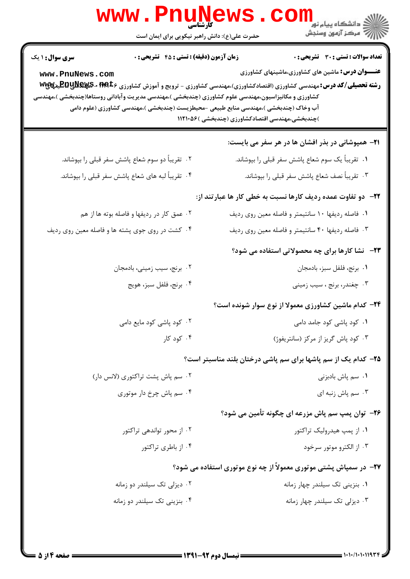| www.Pnune<br>حضرت علی(ع): دانش راهبر نیکویی برای ایمان است                                                                                                                                                                                                                                                                                                                                                                             | ر دانشڪاه پيام نور <mark>−</mark><br>ا∛ مرکز آزمون وسنڊش                                                                                                                        |
|----------------------------------------------------------------------------------------------------------------------------------------------------------------------------------------------------------------------------------------------------------------------------------------------------------------------------------------------------------------------------------------------------------------------------------------|---------------------------------------------------------------------------------------------------------------------------------------------------------------------------------|
| <b>زمان آزمون (دقیقه) : تستی : 45 تشریحی : 0</b><br><b>سری سوال : ۱ یک</b><br>www.PnuNews.com<br><b>رشته تحصیلی/کد درس:</b> مهندسی کشاورزی (اقتصادکشاورزی)،مهندسی کشاورزی - ترویج و آموزش کشاورزی <b>۱۹۹</b> ۵۶۰ <b>-RyS پیلایی تا</b><br>کشاورزی و مکانیزاسیون،مهندسی علوم کشاورزی (چندبخشی )،مهندسی مدیریت وآبادانی روستاها(چندبخشی )،مهندسی<br>آب وخاک (چندبخشی )،مهندسی منابع طبیعی -محیطزیست (چندبخشی )،مهندسی کشاورزی (علوم دامی | <b>تعداد سوالات : تستی : 30 ٪ تشریحی : 0</b><br><b>عنـــوان درس:</b> ماشین های کشاورزی،ماشینهای کشاورزی<br>)چندبخشی،مهندسی اقتصادکشاورزی (چندبخشی )۱۱۲۱۰۵۶                      |
| ۰۲ تقریباً دو سوم شعاع پاشش سفر قبلی را بپوشاند.<br>۰۴ تقریباً لبه های شعاع پاشش سفر قبلی را بپوشاند.                                                                                                                                                                                                                                                                                                                                  | <b>۲۱</b> - همپوشانی در بذر افشان ها در هر سفر می بایست:<br>۰۱ تقریباً یک سوم شعاع پاشش سفر قبلی را بپوشاند.<br>۰۳ تقریباً نصف شعاع پاشش سفر قبلی را بپوشاند.                   |
| ۰۲ عمق کار در ردیفها و فاصله بوته ها از هم<br>۰۴ کشت در روی جوی پشته ها و فاصله معین روی ردیف                                                                                                                                                                                                                                                                                                                                          | <b>۲۲</b> - دو تفاوت عمده ردیف کارها نسبت به خطی کار ها عبارتند از:<br>۰۱ فاصله ردیفها ۱۰ سانتیمتر و فاصله معین روی ردیف<br>۰۳ فاصله ردیفها ۴۰ سانتیمتر و فاصله معین روی ردیف   |
| ۰۲ برنج، سیب زمینی، بادمجان<br>۰۴ برنج، فلفل سبز، هويج                                                                                                                                                                                                                                                                                                                                                                                 | <b>۲۳</b> - نشا کارها برای چه محصولاتی استفاده می شود؟<br>٠١. برنج، فلفل سبز، بادمجان<br>۰۳ چغندر، برنج ، سیب زمینی                                                             |
| ۰۲ کود پاشی کود مایع دامی<br>۰۴ کود کار                                                                                                                                                                                                                                                                                                                                                                                                | ۲۴- کدام ماشین کشاورزی معمولا از نوع سوار شونده است؟<br>۰۱ کود پاشی کود جامد دامی<br>۰۳ کود پاش گریز از مرکز (سانتریفوژ)                                                        |
| ٠٢ سم پاش پشت تراكتورى (لانس دار)<br>۰۴ سم پاش چرخ دار موتوری                                                                                                                                                                                                                                                                                                                                                                          | ۲۵- کدام یک از سم پاشها برای سم پاشی درختان بلند مناسبتر است؟<br>٠١ سم پاش بادبزنی<br>۰۳ سم پاش زنبه ای                                                                         |
| ۰۲ از محور تواندهی تراکتور<br>۰۴ از باطری تراکتور                                                                                                                                                                                                                                                                                                                                                                                      | ۲۶- توان پمپ سم پاش مزرعه ای چگونه تأمین می شود؟<br>۰۱ از پمپ هیدرولیک تراکتور<br>۰۳ از الکترو موتور سرخود<br>۲۷- در سمپاش پشتی موتوری معمولاً از چه نوع موتوری استفاده می شود؟ |
| ۰۲ دیزلی تک سیلندر دو زمانه<br>۰۴ بنزینی تک سیلندر دو زمانه                                                                                                                                                                                                                                                                                                                                                                            | ۰۱ بنزینی تک سیلندر چهار زمانه<br>۰۳ دیزلی تک سیلندر چهار زمانه                                                                                                                 |

 $= 1.1 - 11.1194$